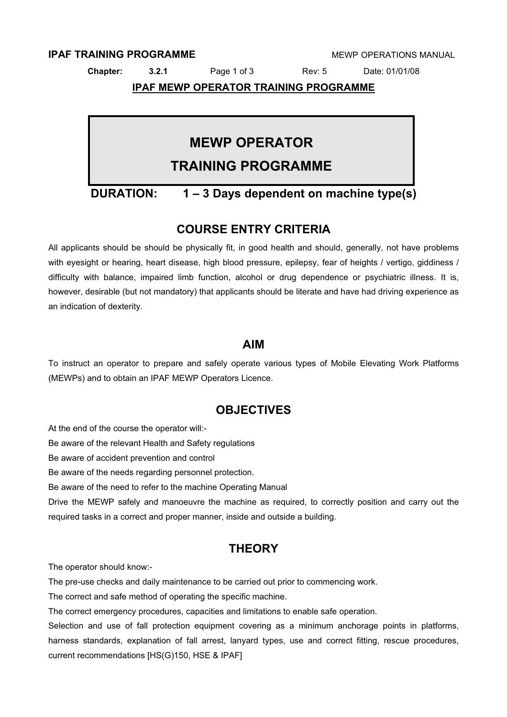### **IPAF TRAINING PROGRAMME EXAMPLE AND A MEMP OPERATIONS MANUAL**

**Chapter: 3.2.1** Page 1 of 3 Rev: 5 Date: 01/01/08

**IPAF MEWP OPERATOR TRAINING PROGRAMME**

# **MEWP OPERATOR**

# **TRAINING PROGRAMME**

# **DURATION: 1 – 3 Days dependent on machine type(s)**

# **COURSE ENTRY CRITERIA**

All applicants should be should be physically fit, in good health and should, generally, not have problems with eyesight or hearing, heart disease, high blood pressure, epilepsy, fear of heights / vertigo, giddiness / difficulty with balance, impaired limb function, alcohol or drug dependence or psychiatric illness. It is, however, desirable (but not mandatory) that applicants should be literate and have had driving experience as an indication of dexterity.

### **AIM**

To instruct an operator to prepare and safely operate various types of Mobile Elevating Work Platforms (MEWPs) and to obtain an IPAF MEWP Operators Licence.

# **OBJECTIVES**

At the end of the course the operator will:-

Be aware of the relevant Health and Safety regulations

Be aware of accident prevention and control

Be aware of the needs regarding personnel protection.

Be aware of the need to refer to the machine Operating Manual

Drive the MEWP safely and manoeuvre the machine as required, to correctly position and carry out the required tasks in a correct and proper manner, inside and outside a building.

# **THEORY**

The operator should know:-

The pre-use checks and daily maintenance to be carried out prior to commencing work.

The correct and safe method of operating the specific machine.

The correct emergency procedures, capacities and limitations to enable safe operation.

Selection and use of fall protection equipment covering as a minimum anchorage points in platforms, harness standards, explanation of fall arrest, lanyard types, use and correct fitting, rescue procedures, current recommendations [HS(G)150, HSE & IPAF]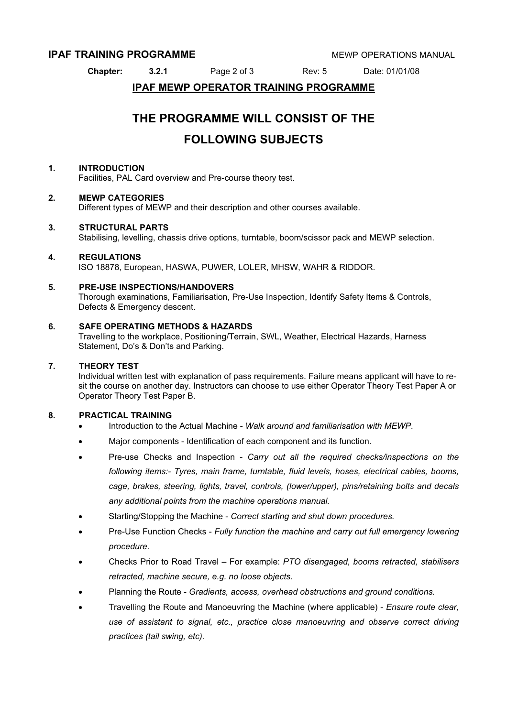### **IPAF TRAINING PROGRAMME EXAMPLE THE MEW POPERATIONS MANUAL**

**Chapter: 3.2.1** Page 2 of 3 Rev: 5 Date: 01/01/08

### **IPAF MEWP OPERATOR TRAINING PROGRAMME**

# **THE PROGRAMME WILL CONSIST OF THE FOLLOWING SUBJECTS**

#### **1. INTRODUCTION**

Facilities, PAL Card overview and Pre-course theory test.

#### **2. MEWP CATEGORIES**

Different types of MEWP and their description and other courses available.

#### **3. STRUCTURAL PARTS**

Stabilising, levelling, chassis drive options, turntable, boom/scissor pack and MEWP selection.

#### **4. REGULATIONS**

ISO 18878, European, HASWA, PUWER, LOLER, MHSW, WAHR & RIDDOR.

#### **5. PRE-USE INSPECTIONS/HANDOVERS**

Thorough examinations, Familiarisation, Pre-Use Inspection, Identify Safety Items & Controls, Defects & Emergency descent.

#### **6. SAFE OPERATING METHODS & HAZARDS**

Travelling to the workplace, Positioning/Terrain, SWL, Weather, Electrical Hazards, Harness Statement, Do's & Don'ts and Parking.

#### **7. THEORY TEST**

Individual written test with explanation of pass requirements. Failure means applicant will have to resit the course on another day. Instructors can choose to use either Operator Theory Test Paper A or Operator Theory Test Paper B.

#### **8. PRACTICAL TRAINING**

- Introduction to the Actual Machine *Walk around and familiarisation with MEWP*.
- Major components Identification of each component and its function.
- Pre-use Checks and Inspection *Carry out all the required checks/inspections on the following items:- Tyres, main frame, turntable, fluid levels, hoses, electrical cables, booms, cage, brakes, steering, lights, travel, controls, (lower/upper), pins/retaining bolts and decals any additional points from the machine operations manual.*
- Starting/Stopping the Machine *Correct starting and shut down procedures.*
- Pre-Use Function Checks *Fully function the machine and carry out full emergency lowering procedure.*
- Checks Prior to Road Travel For example: *PTO disengaged, booms retracted, stabilisers retracted, machine secure, e.g. no loose objects.*
- Planning the Route *Gradients, access, overhead obstructions and ground conditions.*
- Travelling the Route and Manoeuvring the Machine (where applicable) *Ensure route clear, use of assistant to signal, etc., practice close manoeuvring and observe correct driving practices (tail swing, etc).*